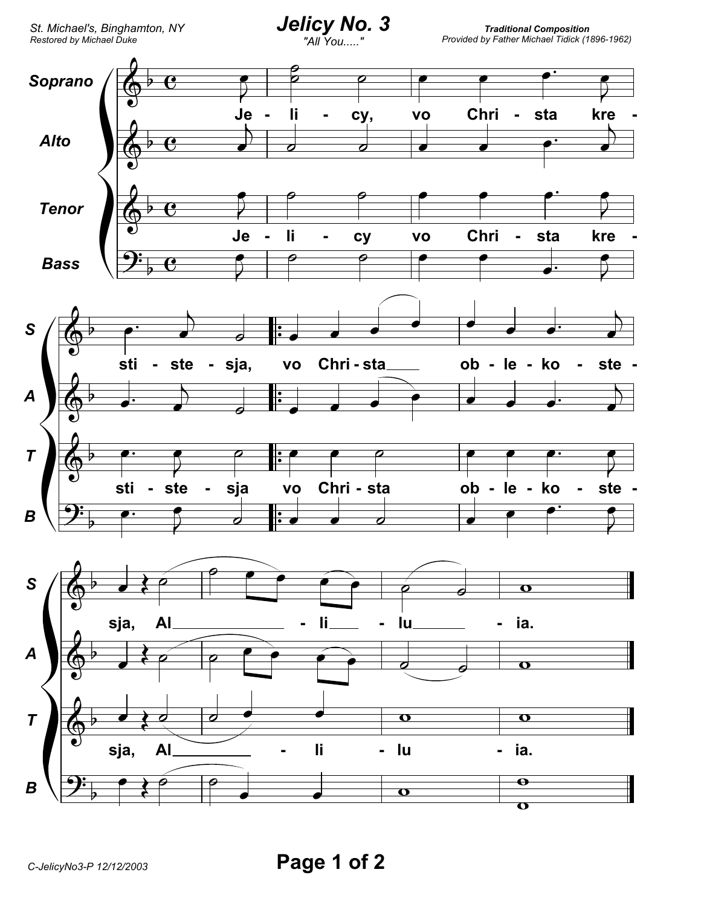**Traditional Composition** Provided by Father Michael Tidick (1896-1962)